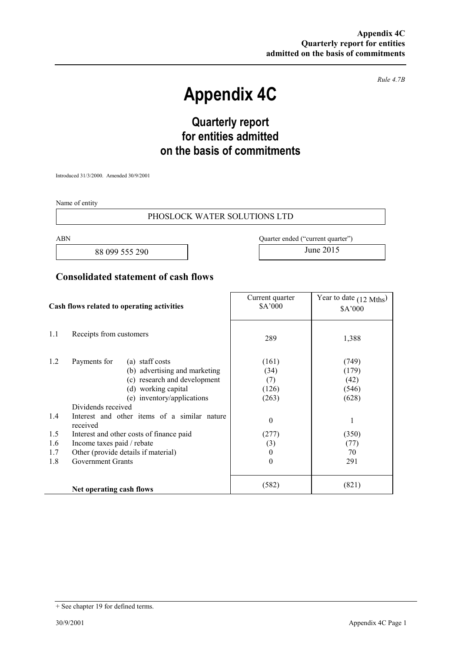*Rule 4.7B* 

# **Appendix 4C**

## **Quarterly report for entities admitted on the basis of commitments**

Introduced 31/3/2000. Amended 30/9/2001

Name of entity

#### PHOSLOCK WATER SOLUTIONS LTD

88 099 555 290 June 2015

ABN Quarter ended ("current quarter")

### **Consolidated statement of cash flows**

| Cash flows related to operating activities |                                                                                                                                                                                                                                                                                                                                                                                      | Current quarter<br>\$A'000                                                                         | Year to date $(12 \text{ Mths})$<br>\$A'000                                 |
|--------------------------------------------|--------------------------------------------------------------------------------------------------------------------------------------------------------------------------------------------------------------------------------------------------------------------------------------------------------------------------------------------------------------------------------------|----------------------------------------------------------------------------------------------------|-----------------------------------------------------------------------------|
| 1.1                                        | Receipts from customers                                                                                                                                                                                                                                                                                                                                                              | 289                                                                                                | 1,388                                                                       |
| 1.2<br>1.4<br>1.5<br>1.6<br>1.7<br>1.8     | Payments for<br>(a) staff costs<br>(b) advertising and marketing<br>(c) research and development<br>(d) working capital<br>(e) inventory/applications<br>Dividends received<br>Interest and other items of a similar nature<br>received<br>Interest and other costs of finance paid<br>Income taxes paid / rebate<br>Other (provide details if material)<br><b>Government Grants</b> | (161)<br>(34)<br>(7)<br>(126)<br>(263)<br>$\boldsymbol{0}$<br>(277)<br>(3)<br>$\bf{0}$<br>$\theta$ | (749)<br>(179)<br>(42)<br>(546)<br>(628)<br>1<br>(350)<br>(77)<br>70<br>291 |
|                                            | Net operating cash flows                                                                                                                                                                                                                                                                                                                                                             | (582)                                                                                              | (821)                                                                       |

<sup>+</sup> See chapter 19 for defined terms.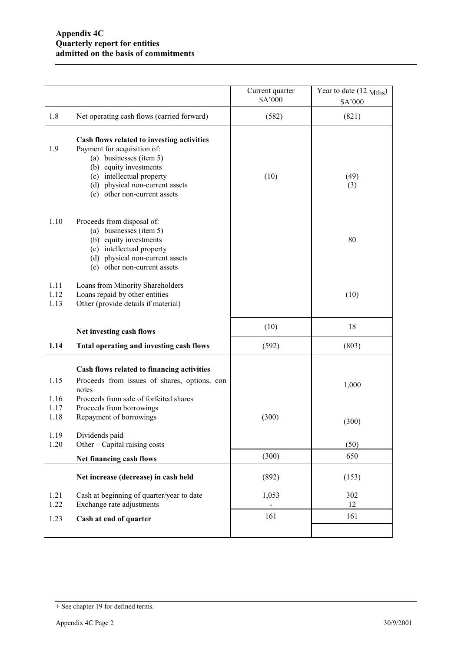|                              |                                                                                                                                                                                                                                | Current quarter<br>\$A'000 | Year to date (12 Mths)<br>\$A'000 |
|------------------------------|--------------------------------------------------------------------------------------------------------------------------------------------------------------------------------------------------------------------------------|----------------------------|-----------------------------------|
| 1.8                          | Net operating cash flows (carried forward)                                                                                                                                                                                     | (582)                      | (821)                             |
| 1.9                          | Cash flows related to investing activities<br>Payment for acquisition of:<br>(a) businesses (item 5)<br>(b) equity investments<br>(c) intellectual property<br>(d) physical non-current assets<br>(e) other non-current assets | (10)                       | (49)<br>(3)                       |
| 1.10                         | Proceeds from disposal of:<br>(a) businesses (item 5)<br>(b) equity investments<br>(c) intellectual property<br>(d) physical non-current assets<br>(e) other non-current assets                                                |                            | 80                                |
| 1.11<br>1.12<br>1.13         | Loans from Minority Shareholders<br>Loans repaid by other entities<br>Other (provide details if material)                                                                                                                      |                            | (10)                              |
|                              | Net investing cash flows                                                                                                                                                                                                       | (10)                       | 18                                |
| 1.14                         | Total operating and investing cash flows                                                                                                                                                                                       | (592)                      | (803)                             |
| 1.15<br>1.16<br>1.17<br>1.18 | Cash flows related to financing activities<br>Proceeds from issues of shares, options, con<br>notes<br>Proceeds from sale of forfeited shares<br>Proceeds from borrowings<br>Repayment of borrowings                           | (300)                      | 1,000<br>(300)                    |
| 1.19<br>1.20                 | Dividends paid<br>Other – Capital raising costs                                                                                                                                                                                |                            | (50)                              |
|                              | Net financing cash flows                                                                                                                                                                                                       | (300)                      | 650                               |
|                              | Net increase (decrease) in cash held                                                                                                                                                                                           | (892)                      | (153)                             |
| 1.21<br>1.22                 | Cash at beginning of quarter/year to date<br>Exchange rate adjustments                                                                                                                                                         | 1,053                      | 302<br>12                         |
| 1.23                         | Cash at end of quarter                                                                                                                                                                                                         | 161                        | 161                               |
|                              |                                                                                                                                                                                                                                |                            |                                   |

<sup>+</sup> See chapter 19 for defined terms.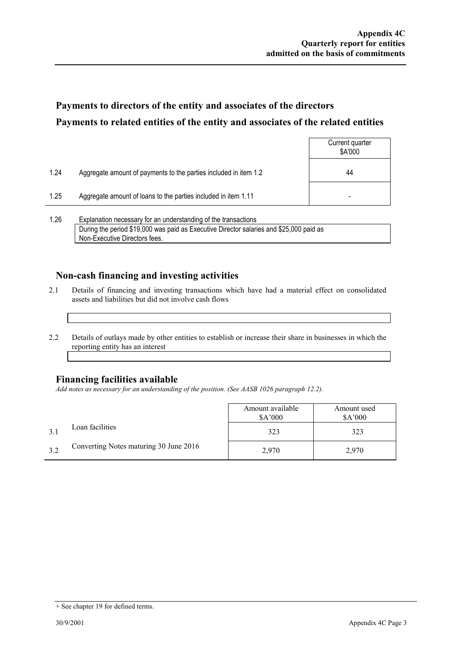### **Payments to directors of the entity and associates of the directors Payments to related entities of the entity and associates of the related entities**

|      |                                                                  | Current quarter<br>\$A'000 |
|------|------------------------------------------------------------------|----------------------------|
| 1.24 | Aggregate amount of payments to the parties included in item 1.2 | 44                         |
| 1.25 | Aggregate amount of loans to the parties included in item 1.11   |                            |
|      |                                                                  |                            |

1.26 Explanation necessary for an understanding of the transactions During the period \$19,000 was paid as Executive Director salaries and \$25,000 paid as Non-Executive Directors fees.

### **Non-cash financing and investing activities**

- 2.1 Details of financing and investing transactions which have had a material effect on consolidated assets and liabilities but did not involve cash flows
- 2.2 Details of outlays made by other entities to establish or increase their share in businesses in which the reporting entity has an interest

#### **Financing facilities available**

*Add notes as necessary for an understanding of the position. (See AASB 1026 paragraph 12.2).* 

|     |                                        | Amount available<br>\$A'000 | Amount used<br>\$A'000 |
|-----|----------------------------------------|-----------------------------|------------------------|
|     | Loan facilities                        | 323                         | 323                    |
| 3.2 | Converting Notes maturing 30 June 2016 | 2,970                       | 2,970                  |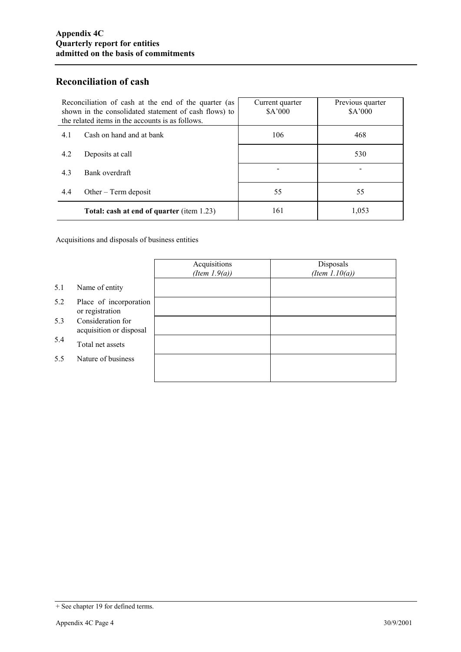### **Reconciliation of cash**

| Reconciliation of cash at the end of the quarter (as<br>shown in the consolidated statement of cash flows) to<br>the related items in the accounts is as follows. |                                           | Current quarter<br>\$A'000 | Previous quarter<br>\$A'000 |
|-------------------------------------------------------------------------------------------------------------------------------------------------------------------|-------------------------------------------|----------------------------|-----------------------------|
| 4.1                                                                                                                                                               | Cash on hand and at bank                  | 106                        | 468                         |
| 4.2                                                                                                                                                               | Deposits at call                          |                            | 530                         |
| 4.3                                                                                                                                                               | Bank overdraft                            |                            |                             |
| 4.4                                                                                                                                                               | Other $-$ Term deposit                    | 55                         | 55                          |
|                                                                                                                                                                   | Total: cash at end of quarter (item 1.23) | 161                        | 1,053                       |

Acquisitions and disposals of business entities

|     |                                              | Acquisitions<br>(Item $1.9(a)$ ) | Disposals<br>(Item $1.10(a)$ ) |
|-----|----------------------------------------------|----------------------------------|--------------------------------|
| 5.1 | Name of entity                               |                                  |                                |
| 5.2 | Place of incorporation<br>or registration    |                                  |                                |
| 5.3 | Consideration for<br>acquisition or disposal |                                  |                                |
| 5.4 | Total net assets                             |                                  |                                |
| 5.5 | Nature of business                           |                                  |                                |
|     |                                              |                                  |                                |

<sup>+</sup> See chapter 19 for defined terms.